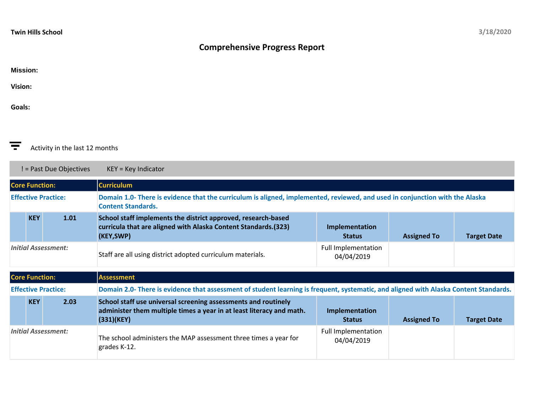## **Comprehensive Progress Report**

## **Mission:**

**Vision:**

**Goals:**



! = Past Due Objectives KEY = Key Indicator

| tives | $KEY = Key Ind$ |  |
|-------|-----------------|--|

| <b>Curriculum</b><br><b>Core Function:</b> |            |                            |                                                                                                                                                           |                                          |                    |                    |  |
|--------------------------------------------|------------|----------------------------|-----------------------------------------------------------------------------------------------------------------------------------------------------------|------------------------------------------|--------------------|--------------------|--|
| <b>Effective Practice:</b>                 |            |                            | Domain 1.0- There is evidence that the curriculum is aligned, implemented, reviewed, and used in conjunction with the Alaska<br><b>Content Standards.</b> |                                          |                    |                    |  |
|                                            | <b>KEY</b> | 1.01                       | School staff implements the district approved, research-based<br>curricula that are aligned with Alaska Content Standards.(323)<br>(KEY,SWP)              | Implementation<br><b>Status</b>          | <b>Assigned To</b> | <b>Target Date</b> |  |
| <b>Initial Assessment:</b>                 |            |                            | Staff are all using district adopted curriculum materials.                                                                                                | <b>Full Implementation</b><br>04/04/2019 |                    |                    |  |
| <b>Core Function:</b>                      |            |                            | <b>Assessment</b>                                                                                                                                         |                                          |                    |                    |  |
|                                            |            | <b>Effective Practice:</b> | Domain 2.0- There is evidence that assessment of student learning is frequent, systematic, and aligned with Alaska Content Standards.                     |                                          |                    |                    |  |
|                                            | <b>KEY</b> | 2.03                       | School staff use universal screening assessments and routinely<br>administer them multiple times a year in at least literacy and math.<br>(331)(KEY)      | Implementation<br><b>Status</b>          | <b>Assigned To</b> | <b>Target Date</b> |  |
| <b>Initial Assessment:</b>                 |            |                            | The school administers the MAP assessment three times a year for<br>grades K-12.                                                                          | <b>Full Implementation</b><br>04/04/2019 |                    |                    |  |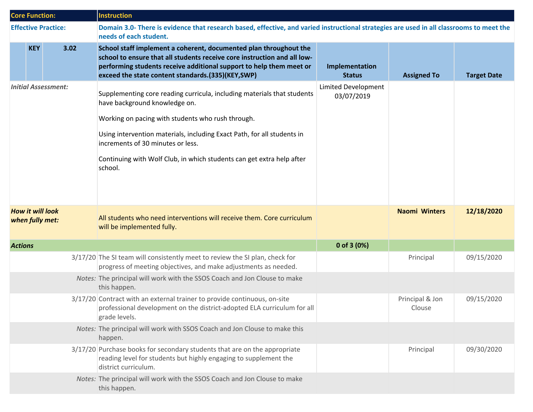| <b>Core Function:</b><br><b>Instruction</b> |            |                            |                                                                                                                                                                                                                                                                                                                                                                   |                                          |                           |                    |  |
|---------------------------------------------|------------|----------------------------|-------------------------------------------------------------------------------------------------------------------------------------------------------------------------------------------------------------------------------------------------------------------------------------------------------------------------------------------------------------------|------------------------------------------|---------------------------|--------------------|--|
|                                             |            | <b>Effective Practice:</b> | Domain 3.0- There is evidence that research based, effective, and varied instructional strategies are used in all classrooms to meet the<br>needs of each student.                                                                                                                                                                                                |                                          |                           |                    |  |
|                                             | <b>KEY</b> | 3.02                       | School staff implement a coherent, documented plan throughout the<br>school to ensure that all students receive core instruction and all low-<br>performing students receive additional support to help them meet or<br>exceed the state content standards.(335)(KEY,SWP)                                                                                         | Implementation<br><b>Status</b>          | <b>Assigned To</b>        | <b>Target Date</b> |  |
| <b>Initial Assessment:</b>                  |            |                            | Supplementing core reading curricula, including materials that students<br>have background knowledge on.<br>Working on pacing with students who rush through.<br>Using intervention materials, including Exact Path, for all students in<br>increments of 30 minutes or less.<br>Continuing with Wolf Club, in which students can get extra help after<br>school. | <b>Limited Development</b><br>03/07/2019 |                           |                    |  |
| <b>How it will look</b><br>when fully met:  |            |                            | All students who need interventions will receive them. Core curriculum<br>will be implemented fully.                                                                                                                                                                                                                                                              |                                          | <b>Naomi Winters</b>      | 12/18/2020         |  |
| <b>Actions</b>                              |            |                            |                                                                                                                                                                                                                                                                                                                                                                   | 0 of 3 $(0%)$                            |                           |                    |  |
|                                             |            |                            | 3/17/20 The SI team will consistently meet to review the SI plan, check for<br>progress of meeting objectives, and make adjustments as needed.                                                                                                                                                                                                                    |                                          | Principal                 | 09/15/2020         |  |
|                                             |            |                            | Notes: The principal will work with the SSOS Coach and Jon Clouse to make<br>this happen.                                                                                                                                                                                                                                                                         |                                          |                           |                    |  |
|                                             |            |                            | 3/17/20 Contract with an external trainer to provide continuous, on-site<br>professional development on the district-adopted ELA curriculum for all<br>grade levels.                                                                                                                                                                                              |                                          | Principal & Jon<br>Clouse | 09/15/2020         |  |
|                                             |            |                            | Notes: The principal will work with SSOS Coach and Jon Clouse to make this<br>happen.                                                                                                                                                                                                                                                                             |                                          |                           |                    |  |
|                                             |            |                            | 3/17/20 Purchase books for secondary students that are on the appropriate<br>reading level for students but highly engaging to supplement the<br>district curriculum.                                                                                                                                                                                             |                                          | Principal                 | 09/30/2020         |  |
|                                             |            |                            | Notes: The principal will work with the SSOS Coach and Jon Clouse to make<br>this happen.                                                                                                                                                                                                                                                                         |                                          |                           |                    |  |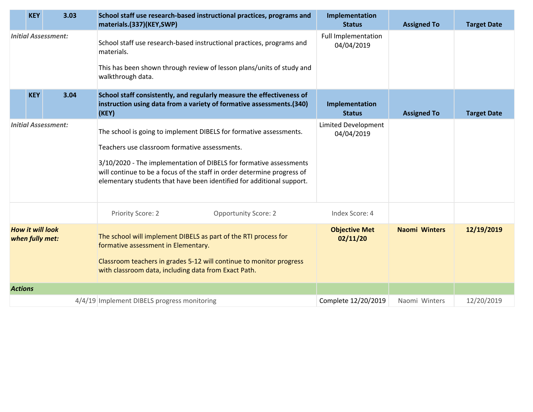|                                            | <b>KEY</b> | 3.03 | School staff use research-based instructional practices, programs and<br>materials.(337)(KEY,SWP)                                                                                                                                                                                                                                             | Implementation<br><b>Status</b>          | <b>Assigned To</b>   | <b>Target Date</b> |
|--------------------------------------------|------------|------|-----------------------------------------------------------------------------------------------------------------------------------------------------------------------------------------------------------------------------------------------------------------------------------------------------------------------------------------------|------------------------------------------|----------------------|--------------------|
| <b>Initial Assessment:</b>                 |            |      | School staff use research-based instructional practices, programs and<br>materials.<br>This has been shown through review of lesson plans/units of study and<br>walkthrough data.                                                                                                                                                             | <b>Full Implementation</b><br>04/04/2019 |                      |                    |
|                                            | <b>KEY</b> | 3.04 | School staff consistently, and regularly measure the effectiveness of<br>instruction using data from a variety of formative assessments.(340)<br>(KEY)                                                                                                                                                                                        | Implementation<br><b>Status</b>          | <b>Assigned To</b>   | <b>Target Date</b> |
| <b>Initial Assessment:</b>                 |            |      | The school is going to implement DIBELS for formative assessments.<br>Teachers use classroom formative assessments.<br>3/10/2020 - The implementation of DIBELS for formative assessments<br>will continue to be a focus of the staff in order determine progress of<br>elementary students that have been identified for additional support. | Limited Development<br>04/04/2019        |                      |                    |
|                                            |            |      | Priority Score: 2<br><b>Opportunity Score: 2</b>                                                                                                                                                                                                                                                                                              | Index Score: 4                           |                      |                    |
| <b>How it will look</b><br>when fully met: |            |      | The school will implement DIBELS as part of the RTI process for<br>formative assessment in Elementary.<br>Classroom teachers in grades 5-12 will continue to monitor progress<br>with classroom data, including data from Exact Path.                                                                                                         | <b>Objective Met</b><br>02/11/20         | <b>Naomi Winters</b> | 12/19/2019         |
| <b>Actions</b>                             |            |      |                                                                                                                                                                                                                                                                                                                                               |                                          |                      |                    |
|                                            |            |      | 4/4/19 Implement DIBELS progress monitoring                                                                                                                                                                                                                                                                                                   | Complete 12/20/2019                      | Naomi Winters        | 12/20/2019         |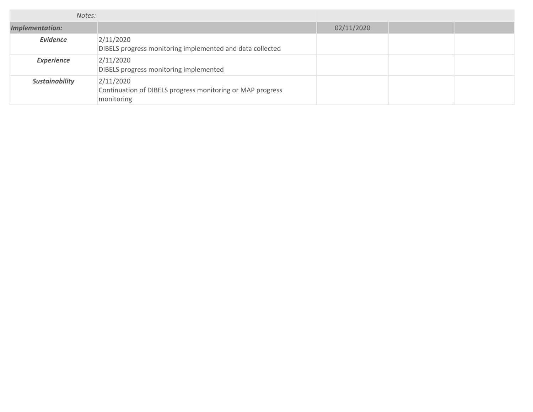| Notes:                |                                                                                       |            |  |
|-----------------------|---------------------------------------------------------------------------------------|------------|--|
| Implementation:       |                                                                                       | 02/11/2020 |  |
| <b>Evidence</b>       | 2/11/2020<br>DIBELS progress monitoring implemented and data collected                |            |  |
| <b>Experience</b>     | 2/11/2020<br>DIBELS progress monitoring implemented                                   |            |  |
| <b>Sustainability</b> | 2/11/2020<br>Continuation of DIBELS progress monitoring or MAP progress<br>monitoring |            |  |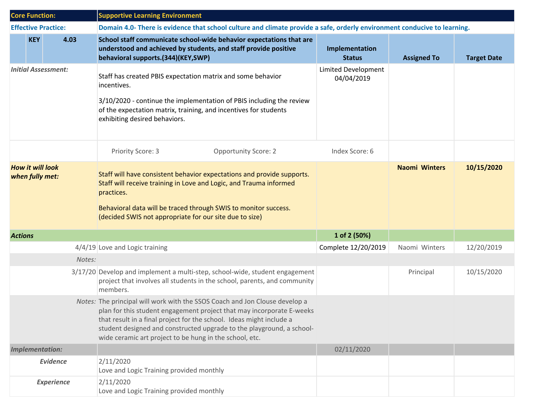| <b>Core Function:</b>                      | <b>Supportive Learning Environment</b>                                                                                                                                                                                                                                                                                                                           |                                          |                      |                    |  |  |
|--------------------------------------------|------------------------------------------------------------------------------------------------------------------------------------------------------------------------------------------------------------------------------------------------------------------------------------------------------------------------------------------------------------------|------------------------------------------|----------------------|--------------------|--|--|
| <b>Effective Practice:</b>                 | Domain 4.0- There is evidence that school culture and climate provide a safe, orderly environment conducive to learning.                                                                                                                                                                                                                                         |                                          |                      |                    |  |  |
| <b>KEY</b><br>4.03                         | School staff communicate school-wide behavior expectations that are<br>understood and achieved by students, and staff provide positive<br>behavioral supports.(344)(KEY,SWP)                                                                                                                                                                                     | Implementation<br><b>Status</b>          | <b>Assigned To</b>   | <b>Target Date</b> |  |  |
| <b>Initial Assessment:</b>                 | Staff has created PBIS expectation matrix and some behavior<br>incentives.<br>3/10/2020 - continue the implementation of PBIS including the review<br>of the expectation matrix, training, and incentives for students<br>exhibiting desired behaviors.                                                                                                          | <b>Limited Development</b><br>04/04/2019 |                      |                    |  |  |
|                                            | Priority Score: 3<br><b>Opportunity Score: 2</b>                                                                                                                                                                                                                                                                                                                 | Index Score: 6                           |                      |                    |  |  |
| <b>How it will look</b><br>when fully met: | Staff will have consistent behavior expectations and provide supports.<br>Staff will receive training in Love and Logic, and Trauma informed<br>practices.<br>Behavioral data will be traced through SWIS to monitor success.<br>(decided SWIS not appropriate for our site due to size)                                                                         |                                          | <b>Naomi Winters</b> | 10/15/2020         |  |  |
| <b>Actions</b>                             |                                                                                                                                                                                                                                                                                                                                                                  | 1 of 2 (50%)                             |                      |                    |  |  |
|                                            | 4/4/19 Love and Logic training                                                                                                                                                                                                                                                                                                                                   | Complete 12/20/2019                      | Naomi Winters        | 12/20/2019         |  |  |
| Notes:                                     |                                                                                                                                                                                                                                                                                                                                                                  |                                          |                      |                    |  |  |
|                                            | 3/17/20 Develop and implement a multi-step, school-wide, student engagement<br>project that involves all students in the school, parents, and community<br>members.                                                                                                                                                                                              |                                          | Principal            | 10/15/2020         |  |  |
|                                            | Notes: The principal will work with the SSOS Coach and Jon Clouse develop a<br>plan for this student engagement project that may incorporate E-weeks<br>that result in a final project for the school. Ideas might include a<br>student designed and constructed upgrade to the playground, a school-<br>wide ceramic art project to be hung in the school, etc. |                                          |                      |                    |  |  |
| <b>Implementation:</b>                     |                                                                                                                                                                                                                                                                                                                                                                  | 02/11/2020                               |                      |                    |  |  |
| <b>Evidence</b>                            | 2/11/2020<br>Love and Logic Training provided monthly                                                                                                                                                                                                                                                                                                            |                                          |                      |                    |  |  |
| <b>Experience</b>                          | 2/11/2020<br>Love and Logic Training provided monthly                                                                                                                                                                                                                                                                                                            |                                          |                      |                    |  |  |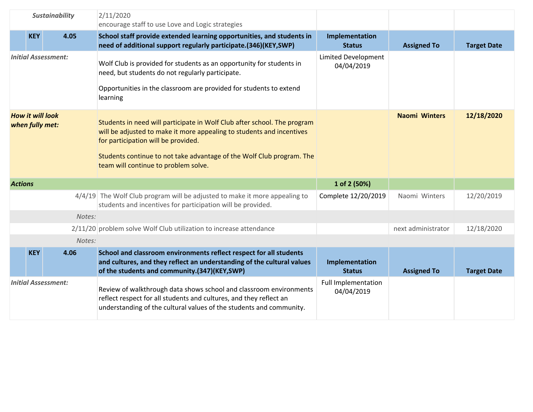|                                            |            | <b>Sustainability</b>      | 2/11/2020<br>encourage staff to use Love and Logic strategies                                                                                                                                                                                                                                             |                                          |                      |                    |
|--------------------------------------------|------------|----------------------------|-----------------------------------------------------------------------------------------------------------------------------------------------------------------------------------------------------------------------------------------------------------------------------------------------------------|------------------------------------------|----------------------|--------------------|
|                                            | <b>KEY</b> | 4.05                       | School staff provide extended learning opportunities, and students in<br>need of additional support regularly participate.(346)(KEY,SWP)                                                                                                                                                                  | Implementation<br><b>Status</b>          | <b>Assigned To</b>   | <b>Target Date</b> |
| <b>Initial Assessment:</b>                 |            |                            | Wolf Club is provided for students as an opportunity for students in<br>need, but students do not regularly participate.<br>Opportunities in the classroom are provided for students to extend<br>learning                                                                                                | <b>Limited Development</b><br>04/04/2019 |                      |                    |
| <b>How it will look</b><br>when fully met: |            |                            | Students in need will participate in Wolf Club after school. The program<br>will be adjusted to make it more appealing to students and incentives<br>for participation will be provided.<br>Students continue to not take advantage of the Wolf Club program. The<br>team will continue to problem solve. |                                          | <b>Naomi Winters</b> | 12/18/2020         |
| <b>Actions</b>                             |            |                            |                                                                                                                                                                                                                                                                                                           | 1 of 2 (50%)                             |                      |                    |
|                                            |            |                            | $4/4/19$ The Wolf Club program will be adjusted to make it more appealing to<br>students and incentives for participation will be provided.                                                                                                                                                               | Complete 12/20/2019                      | Naomi Winters        | 12/20/2019         |
|                                            |            | Notes:                     |                                                                                                                                                                                                                                                                                                           |                                          |                      |                    |
|                                            |            |                            | 2/11/20 problem solve Wolf Club utilization to increase attendance                                                                                                                                                                                                                                        |                                          | next administrator   | 12/18/2020         |
|                                            |            | Notes:                     |                                                                                                                                                                                                                                                                                                           |                                          |                      |                    |
|                                            | <b>KEY</b> | 4.06                       | School and classroom environments reflect respect for all students<br>and cultures, and they reflect an understanding of the cultural values<br>of the students and community.(347)(KEY,SWP)                                                                                                              | Implementation<br><b>Status</b>          | <b>Assigned To</b>   | <b>Target Date</b> |
|                                            |            | <b>Initial Assessment:</b> | Review of walkthrough data shows school and classroom environments<br>reflect respect for all students and cultures, and they reflect an<br>understanding of the cultural values of the students and community.                                                                                           | <b>Full Implementation</b><br>04/04/2019 |                      |                    |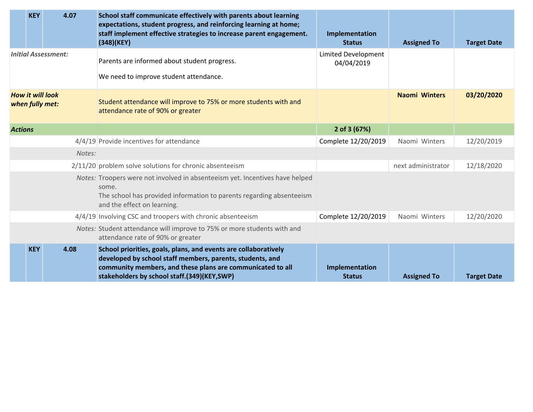|                                            | <b>KEY</b> | 4.07                       | School staff communicate effectively with parents about learning<br>expectations, student progress, and reinforcing learning at home;<br>staff implement effective strategies to increase parent engagement.<br>(348)(KEY)                | Implementation<br><b>Status</b>   | <b>Assigned To</b>   | <b>Target Date</b> |
|--------------------------------------------|------------|----------------------------|-------------------------------------------------------------------------------------------------------------------------------------------------------------------------------------------------------------------------------------------|-----------------------------------|----------------------|--------------------|
|                                            |            | <b>Initial Assessment:</b> | Parents are informed about student progress.<br>We need to improve student attendance.                                                                                                                                                    | Limited Development<br>04/04/2019 |                      |                    |
| <b>How it will look</b><br>when fully met: |            |                            | Student attendance will improve to 75% or more students with and<br>attendance rate of 90% or greater                                                                                                                                     |                                   | <b>Naomi Winters</b> | 03/20/2020         |
| <b>Actions</b>                             |            |                            |                                                                                                                                                                                                                                           | 2 of 3 (67%)                      |                      |                    |
|                                            |            |                            | 4/4/19 Provide incentives for attendance                                                                                                                                                                                                  | Complete 12/20/2019               | Naomi Winters        | 12/20/2019         |
|                                            |            | Notes:                     |                                                                                                                                                                                                                                           |                                   |                      |                    |
|                                            |            |                            | 2/11/20 problem solve solutions for chronic absenteeism                                                                                                                                                                                   |                                   | next administrator   | 12/18/2020         |
|                                            |            |                            | Notes: Troopers were not involved in absenteeism yet. Incentives have helped<br>some.<br>The school has provided information to parents regarding absenteeism<br>and the effect on learning.                                              |                                   |                      |                    |
|                                            |            |                            | 4/4/19 Involving CSC and troopers with chronic absenteeism                                                                                                                                                                                | Complete 12/20/2019               | Naomi Winters        | 12/20/2020         |
|                                            |            |                            | Notes: Student attendance will improve to 75% or more students with and<br>attendance rate of 90% or greater                                                                                                                              |                                   |                      |                    |
|                                            | <b>KEY</b> | 4.08                       | School priorities, goals, plans, and events are collaboratively<br>developed by school staff members, parents, students, and<br>community members, and these plans are communicated to all<br>stakeholders by school staff.(349)(KEY,SWP) | Implementation<br><b>Status</b>   | <b>Assigned To</b>   | <b>Target Date</b> |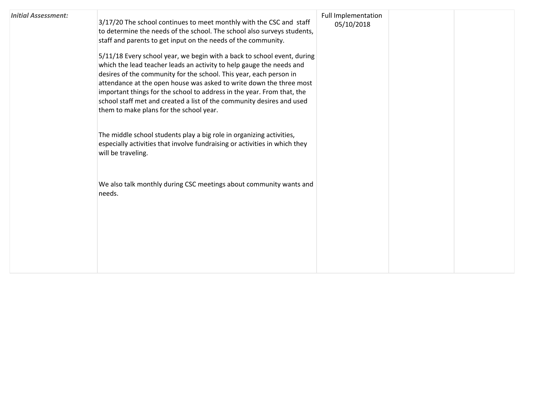| <b>Initial Assessment:</b><br>3/17/20 The school continues to meet monthly with the CSC and staff<br>to determine the needs of the school. The school also surveys students,<br>staff and parents to get input on the needs of the community.<br>5/11/18 Every school year, we begin with a back to school event, during<br>which the lead teacher leads an activity to help gauge the needs and<br>desires of the community for the school. This year, each person in<br>attendance at the open house was asked to write down the three most<br>important things for the school to address in the year. From that, the<br>school staff met and created a list of the community desires and used<br>them to make plans for the school year.<br>The middle school students play a big role in organizing activities,<br>especially activities that involve fundraising or activities in which they<br>will be traveling.<br>We also talk monthly during CSC meetings about community wants and<br>needs. | <b>Full Implementation</b><br>05/10/2018 |  |
|---------------------------------------------------------------------------------------------------------------------------------------------------------------------------------------------------------------------------------------------------------------------------------------------------------------------------------------------------------------------------------------------------------------------------------------------------------------------------------------------------------------------------------------------------------------------------------------------------------------------------------------------------------------------------------------------------------------------------------------------------------------------------------------------------------------------------------------------------------------------------------------------------------------------------------------------------------------------------------------------------------|------------------------------------------|--|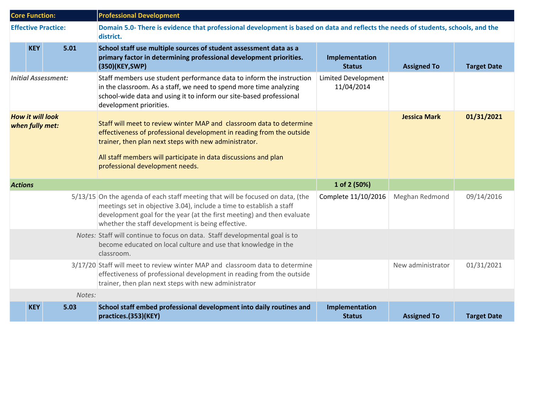| <b>Core Function:</b><br><b>Professional Development</b> |  |        |                                                                                                                                                                                                                                                                                                              |                                          |                     |                    |
|----------------------------------------------------------|--|--------|--------------------------------------------------------------------------------------------------------------------------------------------------------------------------------------------------------------------------------------------------------------------------------------------------------------|------------------------------------------|---------------------|--------------------|
| <b>Effective Practice:</b>                               |  |        | Domain 5.0- There is evidence that professional development is based on data and reflects the needs of students, schools, and the<br>district.                                                                                                                                                               |                                          |                     |                    |
| <b>KEY</b>                                               |  | 5.01   | School staff use multiple sources of student assessment data as a<br>primary factor in determining professional development priorities.<br>(350)(KEY, SWP)                                                                                                                                                   | Implementation<br><b>Status</b>          | <b>Assigned To</b>  | <b>Target Date</b> |
| <b>Initial Assessment:</b>                               |  |        | Staff members use student performance data to inform the instruction<br>in the classroom. As a staff, we need to spend more time analyzing<br>school-wide data and using it to inform our site-based professional<br>development priorities.                                                                 | <b>Limited Development</b><br>11/04/2014 |                     |                    |
| <b>How it will look</b><br>when fully met:               |  |        | Staff will meet to review winter MAP and classroom data to determine<br>effectiveness of professional development in reading from the outside<br>trainer, then plan next steps with new administrator.<br>All staff members will participate in data discussions and plan<br>professional development needs. |                                          | <b>Jessica Mark</b> | 01/31/2021         |
| <b>Actions</b>                                           |  |        |                                                                                                                                                                                                                                                                                                              | 1 of 2 (50%)                             |                     |                    |
|                                                          |  |        | 5/13/15 On the agenda of each staff meeting that will be focused on data, (the<br>meetings set in objective 3.04), include a time to establish a staff<br>development goal for the year (at the first meeting) and then evaluate<br>whether the staff development is being effective.                        | Complete 11/10/2016                      | Meghan Redmond      | 09/14/2016         |
|                                                          |  |        | Notes: Staff will continue to focus on data. Staff developmental goal is to<br>become educated on local culture and use that knowledge in the<br>classroom.                                                                                                                                                  |                                          |                     |                    |
|                                                          |  |        | 3/17/20 Staff will meet to review winter MAP and classroom data to determine<br>effectiveness of professional development in reading from the outside<br>trainer, then plan next steps with new administrator                                                                                                |                                          | New administrator   | 01/31/2021         |
|                                                          |  | Notes: |                                                                                                                                                                                                                                                                                                              |                                          |                     |                    |
| <b>KEY</b>                                               |  | 5.03   | School staff embed professional development into daily routines and<br>practices.(353)(KEY)                                                                                                                                                                                                                  | Implementation<br><b>Status</b>          | <b>Assigned To</b>  | <b>Target Date</b> |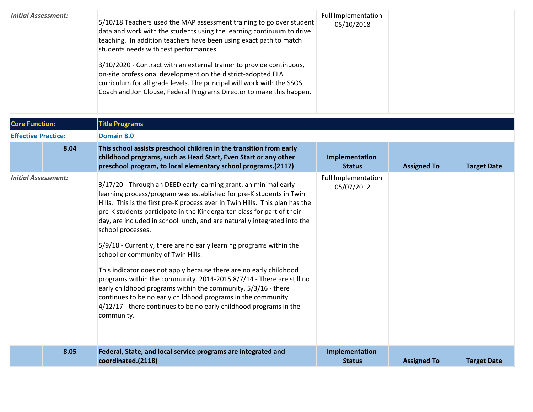|                            | <b>Initial Assessment:</b> | 5/10/18 Teachers used the MAP assessment training to go over student<br>data and work with the students using the learning continuum to drive<br>teaching. In addition teachers have been using exact path to match<br>students needs with test performances.<br>3/10/2020 - Contract with an external trainer to provide continuous,<br>on-site professional development on the district-adopted ELA<br>curriculum for all grade levels. The principal will work with the SSOS<br>Coach and Jon Clouse, Federal Programs Director to make this happen.                                                                                                                                                                                                                                                                                                                             | <b>Full Implementation</b><br>05/10/2018 |                    |                    |
|----------------------------|----------------------------|-------------------------------------------------------------------------------------------------------------------------------------------------------------------------------------------------------------------------------------------------------------------------------------------------------------------------------------------------------------------------------------------------------------------------------------------------------------------------------------------------------------------------------------------------------------------------------------------------------------------------------------------------------------------------------------------------------------------------------------------------------------------------------------------------------------------------------------------------------------------------------------|------------------------------------------|--------------------|--------------------|
|                            | <b>Core Function:</b>      | <b>Title Programs</b>                                                                                                                                                                                                                                                                                                                                                                                                                                                                                                                                                                                                                                                                                                                                                                                                                                                               |                                          |                    |                    |
|                            | <b>Effective Practice:</b> | Domain 8.0                                                                                                                                                                                                                                                                                                                                                                                                                                                                                                                                                                                                                                                                                                                                                                                                                                                                          |                                          |                    |                    |
|                            | 8.04                       | This school assists preschool children in the transition from early<br>childhood programs, such as Head Start, Even Start or any other<br>preschool program, to local elementary school programs.(2117)                                                                                                                                                                                                                                                                                                                                                                                                                                                                                                                                                                                                                                                                             | Implementation<br><b>Status</b>          | <b>Assigned To</b> | <b>Target Date</b> |
| <b>Initial Assessment:</b> |                            | 3/17/20 - Through an DEED early learning grant, an minimal early<br>learning process/program was established for pre-K students in Twin<br>Hills. This is the first pre-K process ever in Twin Hills. This plan has the<br>pre-K students participate in the Kindergarten class for part of their<br>day, are included in school lunch, and are naturally integrated into the<br>school processes.<br>5/9/18 - Currently, there are no early learning programs within the<br>school or community of Twin Hills.<br>This indicator does not apply because there are no early childhood<br>programs within the community. 2014-2015 8/7/14 - There are still no<br>early childhood programs within the community. 5/3/16 - there<br>continues to be no early childhood programs in the community.<br>4/12/17 - there continues to be no early childhood programs in the<br>community. | <b>Full Implementation</b><br>05/07/2012 |                    |                    |
|                            | 8.05                       | Federal, State, and local service programs are integrated and<br>coordinated.(2118)                                                                                                                                                                                                                                                                                                                                                                                                                                                                                                                                                                                                                                                                                                                                                                                                 | Implementation<br><b>Status</b>          | <b>Assigned To</b> | <b>Target Date</b> |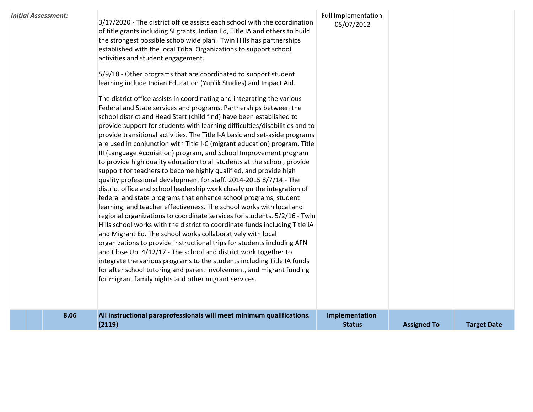|                            | 8.06 | All instructional paraprofessionals will meet minimum qualifications.<br>(2119)                                                                                                                                                                                                                                                                                                                                                                                                                                                                                                                                                                                                                                                                                                                                                                                                                                                                                                                                                                                                                                                                                                                                                                                                                                                                                                                                                                                                                                                                                                                                                                                                                                                                                                                                                                                                                                                                                                                                                                                     | Implementation<br><b>Status</b> | <b>Assigned To</b> | <b>Target Date</b> |
|----------------------------|------|---------------------------------------------------------------------------------------------------------------------------------------------------------------------------------------------------------------------------------------------------------------------------------------------------------------------------------------------------------------------------------------------------------------------------------------------------------------------------------------------------------------------------------------------------------------------------------------------------------------------------------------------------------------------------------------------------------------------------------------------------------------------------------------------------------------------------------------------------------------------------------------------------------------------------------------------------------------------------------------------------------------------------------------------------------------------------------------------------------------------------------------------------------------------------------------------------------------------------------------------------------------------------------------------------------------------------------------------------------------------------------------------------------------------------------------------------------------------------------------------------------------------------------------------------------------------------------------------------------------------------------------------------------------------------------------------------------------------------------------------------------------------------------------------------------------------------------------------------------------------------------------------------------------------------------------------------------------------------------------------------------------------------------------------------------------------|---------------------------------|--------------------|--------------------|
|                            |      | 3/17/2020 - The district office assists each school with the coordination<br>of title grants including SI grants, Indian Ed, Title IA and others to build<br>the strongest possible schoolwide plan. Twin Hills has partnerships<br>established with the local Tribal Organizations to support school<br>activities and student engagement.<br>5/9/18 - Other programs that are coordinated to support student<br>learning include Indian Education (Yup'ik Studies) and Impact Aid.<br>The district office assists in coordinating and integrating the various<br>Federal and State services and programs. Partnerships between the<br>school district and Head Start (child find) have been established to<br>provide support for students with learning difficulties/disabilities and to<br>provide transitional activities. The Title I-A basic and set-aside programs<br>are used in conjunction with Title I-C (migrant education) program, Title<br>III (Language Acquisition) program, and School Improvement program<br>to provide high quality education to all students at the school, provide<br>support for teachers to become highly qualified, and provide high<br>quality professional development for staff. 2014-2015 8/7/14 - The<br>district office and school leadership work closely on the integration of<br>federal and state programs that enhance school programs, student<br>learning, and teacher effectiveness. The school works with local and<br>regional organizations to coordinate services for students. 5/2/16 - Twin<br>Hills school works with the district to coordinate funds including Title IA<br>and Migrant Ed. The school works collaboratively with local<br>organizations to provide instructional trips for students including AFN<br>and Close Up. 4/12/17 - The school and district work together to<br>integrate the various programs to the students including Title IA funds<br>for after school tutoring and parent involvement, and migrant funding<br>for migrant family nights and other migrant services. | 05/07/2012                      |                    |                    |
| <b>Initial Assessment:</b> |      |                                                                                                                                                                                                                                                                                                                                                                                                                                                                                                                                                                                                                                                                                                                                                                                                                                                                                                                                                                                                                                                                                                                                                                                                                                                                                                                                                                                                                                                                                                                                                                                                                                                                                                                                                                                                                                                                                                                                                                                                                                                                     | <b>Full Implementation</b>      |                    |                    |